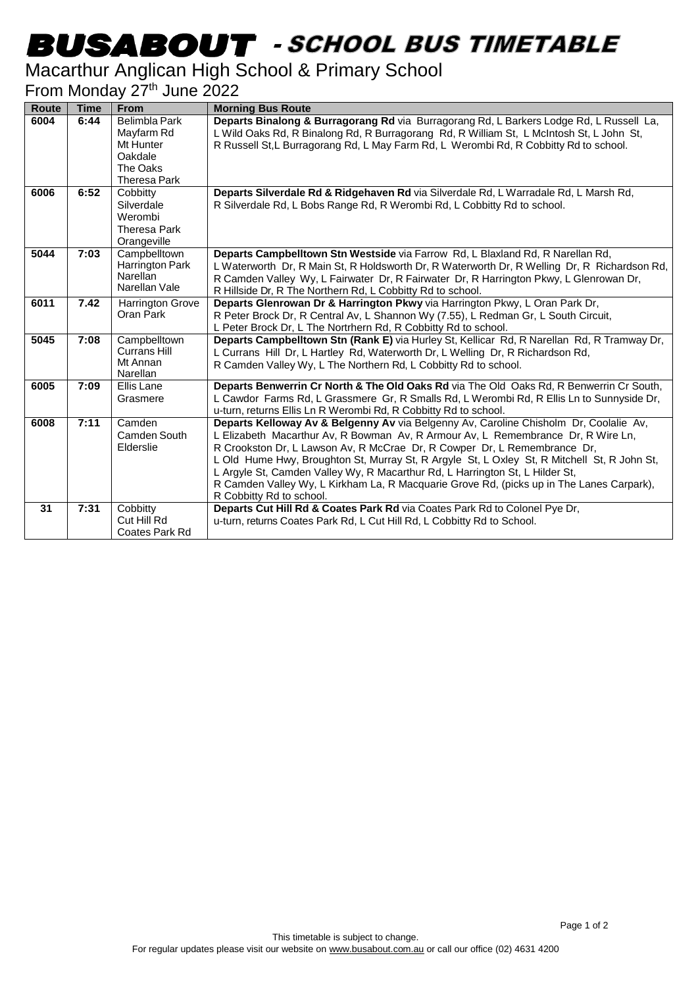# -

#### Macarthur Anglican High School & Primary School

#### From Monday 27<sup>th</sup> June 2022

| <b>Route</b> | <b>Time</b> | <b>From</b>                                                                            | <b>Morning Bus Route</b>                                                                                                                                                                                                                                                                                                                                                                                                                                                                                                                                     |
|--------------|-------------|----------------------------------------------------------------------------------------|--------------------------------------------------------------------------------------------------------------------------------------------------------------------------------------------------------------------------------------------------------------------------------------------------------------------------------------------------------------------------------------------------------------------------------------------------------------------------------------------------------------------------------------------------------------|
| 6004         | 6:44        | Belimbla Park<br>Mayfarm Rd<br>Mt Hunter<br>Oakdale<br>The Oaks<br><b>Theresa Park</b> | Departs Binalong & Burragorang Rd via Burragorang Rd, L Barkers Lodge Rd, L Russell La,<br>L Wild Oaks Rd, R Binalong Rd, R Burragorang Rd, R William St, L McIntosh St, L John St,<br>R Russell St, L Burragorang Rd, L May Farm Rd, L Werombi Rd, R Cobbitty Rd to school.                                                                                                                                                                                                                                                                                 |
| 6006         | 6:52        | Cobbitty<br>Silverdale<br>Werombi<br>Theresa Park<br>Orangeville                       | Departs Silverdale Rd & Ridgehaven Rd via Silverdale Rd, L Warradale Rd, L Marsh Rd,<br>R Silverdale Rd, L Bobs Range Rd, R Werombi Rd, L Cobbitty Rd to school.                                                                                                                                                                                                                                                                                                                                                                                             |
| 5044         | 7:03        | Campbelltown<br>Harrington Park<br>Narellan<br>Narellan Vale                           | Departs Campbelltown Stn Westside via Farrow Rd, L Blaxland Rd, R Narellan Rd,<br>L Waterworth Dr, R Main St, R Holdsworth Dr, R Waterworth Dr, R Welling Dr, R Richardson Rd,<br>R Camden Valley Wy, L Fairwater Dr, R Fairwater Dr, R Harrington Pkwy, L Glenrowan Dr,<br>R Hillside Dr, R The Northern Rd, L Cobbitty Rd to school.                                                                                                                                                                                                                       |
| 6011         | 7.42        | <b>Harrington Grove</b><br>Oran Park                                                   | Departs Glenrowan Dr & Harrington Pkwy via Harrington Pkwy, L Oran Park Dr,<br>R Peter Brock Dr, R Central Av, L Shannon Wy (7.55), L Redman Gr, L South Circuit,<br>L Peter Brock Dr, L The Nortrhern Rd, R Cobbitty Rd to school.                                                                                                                                                                                                                                                                                                                          |
| 5045         | 7:08        | Campbelltown<br><b>Currans Hill</b><br>Mt Annan<br>Narellan                            | Departs Campbelltown Stn (Rank E) via Hurley St, Kellicar Rd, R Narellan Rd, R Tramway Dr,<br>L Currans Hill Dr, L Hartley Rd, Waterworth Dr, L Welling Dr, R Richardson Rd,<br>R Camden Valley Wy, L The Northern Rd, L Cobbitty Rd to school.                                                                                                                                                                                                                                                                                                              |
| 6005         | 7:09        | Ellis Lane<br>Grasmere                                                                 | Departs Benwerrin Cr North & The Old Oaks Rd via The Old Oaks Rd, R Benwerrin Cr South,<br>L Cawdor Farms Rd, L Grassmere Gr, R Smalls Rd, L Werombi Rd, R Ellis Ln to Sunnyside Dr,<br>u-turn, returns Ellis Ln R Werombi Rd, R Cobbitty Rd to school.                                                                                                                                                                                                                                                                                                      |
| 6008         | 7:11        | Camden<br>Camden South<br>Elderslie                                                    | Departs Kelloway Av & Belgenny Av via Belgenny Av, Caroline Chisholm Dr, Coolalie Av,<br>L Elizabeth Macarthur Av, R Bowman Av, R Armour Av, L Remembrance Dr, R Wire Ln,<br>R Crookston Dr, L Lawson Av, R McCrae Dr, R Cowper Dr, L Remembrance Dr,<br>L Old Hume Hwy, Broughton St, Murray St, R Argyle St, L Oxley St, R Mitchell St, R John St,<br>L Argyle St, Camden Valley Wy, R Macarthur Rd, L Harrington St, L Hilder St,<br>R Camden Valley Wy, L Kirkham La, R Macquarie Grove Rd, (picks up in The Lanes Carpark),<br>R Cobbitty Rd to school. |
| 31           | 7:31        | Cobbitty<br>Cut Hill Rd<br>Coates Park Rd                                              | Departs Cut Hill Rd & Coates Park Rd via Coates Park Rd to Colonel Pye Dr,<br>u-turn, returns Coates Park Rd, L Cut Hill Rd, L Cobbitty Rd to School.                                                                                                                                                                                                                                                                                                                                                                                                        |